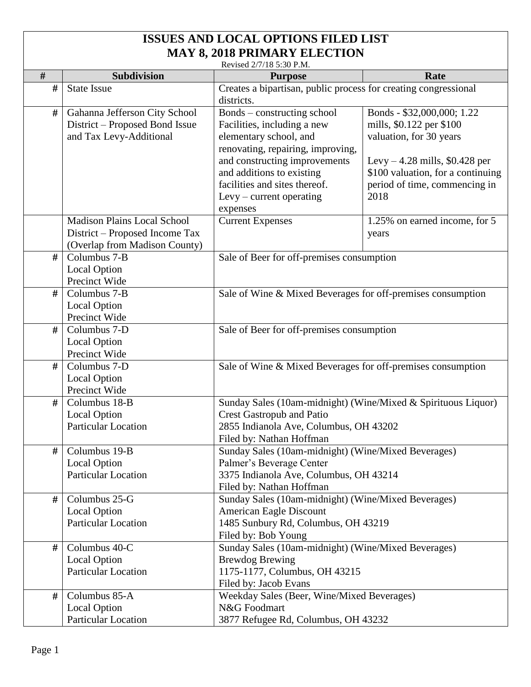## **ISSUES AND LOCAL OPTIONS FILED LIST MAY 8, 2018 PRIMARY ELECTION**

Revised 2/7/18 5:30 P.M.

|      |                                                   | Revised 2/7/18 5:30 P.M.                                                   |                                   |
|------|---------------------------------------------------|----------------------------------------------------------------------------|-----------------------------------|
| #    | <b>Subdivision</b>                                | <b>Purpose</b>                                                             | Rate                              |
| $\#$ | <b>State Issue</b>                                | Creates a bipartisan, public process for creating congressional            |                                   |
|      |                                                   | districts.                                                                 |                                   |
| #    | Gahanna Jefferson City School                     | Bonds – constructing school                                                | Bonds - \$32,000,000; 1.22        |
|      | District – Proposed Bond Issue                    | Facilities, including a new                                                | mills, \$0.122 per \$100          |
|      | and Tax Levy-Additional                           | elementary school, and                                                     | valuation, for 30 years           |
|      |                                                   | renovating, repairing, improving,                                          |                                   |
|      |                                                   | and constructing improvements                                              | Levy $-4.28$ mills, \$0.428 per   |
|      |                                                   | and additions to existing                                                  | \$100 valuation, for a continuing |
|      |                                                   | facilities and sites thereof.                                              | period of time, commencing in     |
|      |                                                   | $L$ evy – current operating                                                | 2018                              |
|      |                                                   | expenses                                                                   |                                   |
|      | <b>Madison Plains Local School</b>                | <b>Current Expenses</b>                                                    | 1.25% on earned income, for 5     |
|      | District – Proposed Income Tax                    |                                                                            | years                             |
|      | (Overlap from Madison County)                     |                                                                            |                                   |
| #    | Columbus 7-B                                      | Sale of Beer for off-premises consumption                                  |                                   |
|      | Local Option                                      |                                                                            |                                   |
|      | Precinct Wide                                     |                                                                            |                                   |
| #    | Columbus 7-B                                      | Sale of Wine & Mixed Beverages for off-premises consumption                |                                   |
|      | <b>Local Option</b>                               |                                                                            |                                   |
|      | Precinct Wide                                     |                                                                            |                                   |
| #    | Columbus 7-D                                      | Sale of Beer for off-premises consumption                                  |                                   |
|      | <b>Local Option</b>                               |                                                                            |                                   |
|      | Precinct Wide                                     |                                                                            |                                   |
| #    | Columbus 7-D                                      | Sale of Wine & Mixed Beverages for off-premises consumption                |                                   |
|      | <b>Local Option</b>                               |                                                                            |                                   |
|      | Precinct Wide                                     |                                                                            |                                   |
| #    | Columbus 18-B                                     | Sunday Sales (10am-midnight) (Wine/Mixed & Spirituous Liquor)              |                                   |
|      | <b>Local Option</b>                               | <b>Crest Gastropub and Patio</b>                                           |                                   |
|      | <b>Particular Location</b>                        | 2855 Indianola Ave, Columbus, OH 43202                                     |                                   |
|      |                                                   | Filed by: Nathan Hoffman                                                   |                                   |
| #    | Columbus 19-B                                     | Sunday Sales (10am-midnight) (Wine/Mixed Beverages)                        |                                   |
|      | Local Option                                      | Palmer's Beverage Center                                                   |                                   |
|      | <b>Particular Location</b>                        | 3375 Indianola Ave, Columbus, OH 43214                                     |                                   |
| #    |                                                   | Filed by: Nathan Hoffman                                                   |                                   |
|      | Columbus 25-G                                     | Sunday Sales (10am-midnight) (Wine/Mixed Beverages)                        |                                   |
|      | <b>Local Option</b><br><b>Particular Location</b> | <b>American Eagle Discount</b>                                             |                                   |
|      |                                                   | 1485 Sunbury Rd, Columbus, OH 43219                                        |                                   |
| #    | Columbus 40-C                                     | Filed by: Bob Young<br>Sunday Sales (10am-midnight) (Wine/Mixed Beverages) |                                   |
|      | <b>Local Option</b>                               | <b>Brewdog Brewing</b>                                                     |                                   |
|      | <b>Particular Location</b>                        | 1175-1177, Columbus, OH 43215                                              |                                   |
|      |                                                   | Filed by: Jacob Evans                                                      |                                   |
| #    | Columbus 85-A                                     | Weekday Sales (Beer, Wine/Mixed Beverages)                                 |                                   |
|      | Local Option                                      | N&G Foodmart                                                               |                                   |
|      | <b>Particular Location</b>                        | 3877 Refugee Rd, Columbus, OH 43232                                        |                                   |
|      |                                                   |                                                                            |                                   |